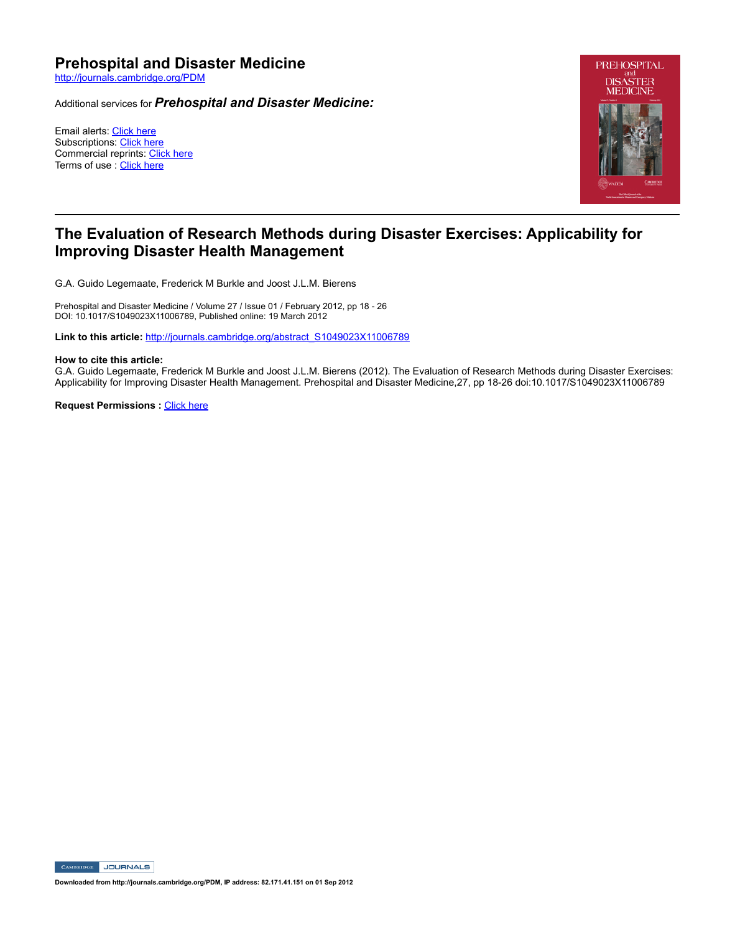# **Prehospital and Disaster Medicine**

http://journals.cambridge.org/PDM

Additional services for *Prehospital and Disaster Medicine:*

Email alerts: Click here Subscriptions: Click here Commercial reprints: Click here Terms of use : Click here



# **The Evaluation of Research Methods during Disaster Exercises: Applicability for Improving Disaster Health Management**

G.A. Guido Legemaate, Frederick M Burkle and Joost J.L.M. Bierens

Prehospital and Disaster Medicine / Volume 27 / Issue 01 / February 2012, pp 18 - 26 DOI: 10.1017/S1049023X11006789, Published online: 19 March 2012

Link to this article: http://journals.cambridge.org/abstract\_S1049023X11006789

#### **How to cite this article:**

G.A. Guido Legemaate, Frederick M Burkle and Joost J.L.M. Bierens (2012). The Evaluation of Research Methods during Disaster Exercises: Applicability for Improving Disaster Health Management. Prehospital and Disaster Medicine, 27, pp 18-26 doi:10.1017/S1049023X11006789

**Request Permissions : Click here** 

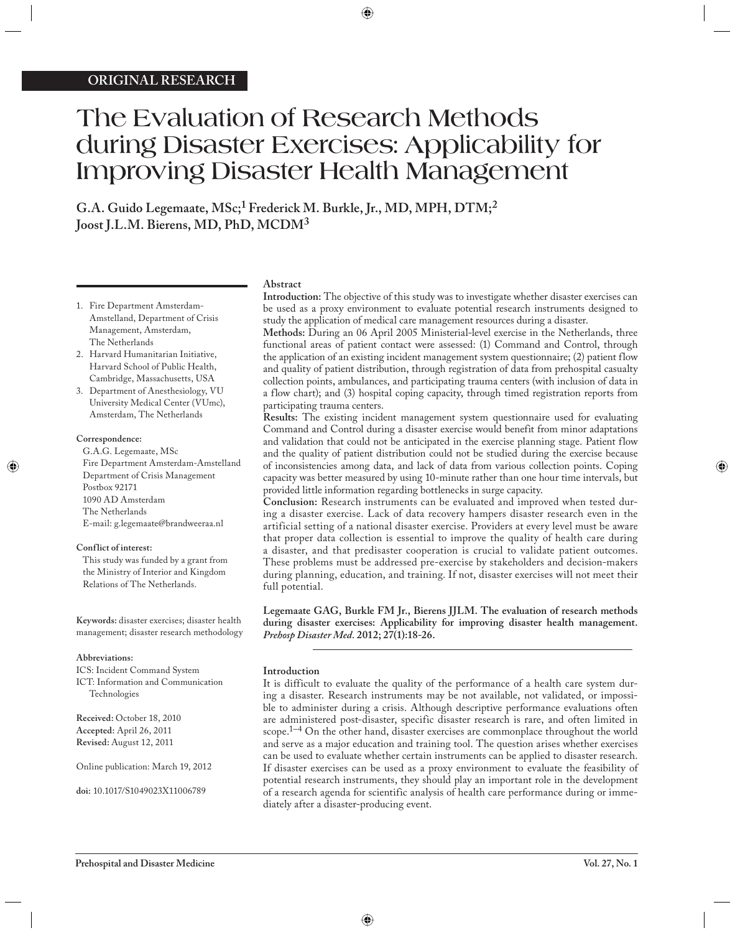# **The Evaluation of Research Methods during Disaster Exercises: Applicability for Improving Disaster Health Management**

**G.A. Guido Legemaate, MSc;1 Frederick M. Burkle, Jr., MD, MPH, DTM;2 Joost J.L.M. Bierens, MD, PhD, MCDM<sup>3</sup>**

- 1. Fire Department Amsterdam-Amstelland, Department of Crisis Management, Amsterdam, The Netherlands
- 2. Harvard Humanitarian Initiative, Harvard School of Public Health, Cambridge, Massachusetts, USA
- 3. Department of Anesthesiology, VU University Medical Center (VUmc), Amsterdam, The Netherlands

#### **Correspondence:**

G.A.G. Legemaate, MSc Fire Department Amsterdam-Amstelland Department of Crisis Management Postbox 92171 1090 AD Amsterdam The Netherlands E-mail: g.legemaate@brandweeraa.nl

# **Conflict of interest:**

This study was funded by a grant from the Ministry of Interior and Kingdom Relations of The Netherlands.

**Keywords:** disaster exercises; disaster health management; disaster research methodology

# **Abbreviations:**

ICS: Incident Command System ICT: Information and Communication Technologies

**Received:** October 18, 2010 **Accepted:** April 26, 2011 **Revised:** August 12, 2011

Online publication: March 19, 2012

**doi:** 10.1017/S1049023X11006789

# **Abstract**

**Introduction:** The objective of this study was to investigate whether disaster exercises can be used as a proxy environment to evaluate potential research instruments designed to study the application of medical care management resources during a disaster.

**Methods:** During an 06 April 2005 Ministerial-level exercise in the Netherlands, three functional areas of patient contact were assessed: (1) Command and Control, through the application of an existing incident management system questionnaire; (2) patient flow and quality of patient distribution, through registration of data from prehospital casualty collection points, ambulances, and participating trauma centers (with inclusion of data in a flow chart); and (3) hospital coping capacity, through timed registration reports from participating trauma centers.

**Results:** The existing incident management system questionnaire used for evaluating Command and Control during a disaster exercise would benefit from minor adaptations and validation that could not be anticipated in the exercise planning stage. Patient flow and the quality of patient distribution could not be studied during the exercise because of inconsistencies among data, and lack of data from various collection points. Coping capacity was better measured by using 10-minute rather than one hour time intervals, but provided little information regarding bottlenecks in surge capacity.

**Conclusion:** Research instruments can be evaluated and improved when tested during a disaster exercise. Lack of data recovery hampers disaster research even in the artificial setting of a national disaster exercise. Providers at every level must be aware that proper data collection is essential to improve the quality of health care during a disaster, and that predisaster cooperation is crucial to validate patient outcomes. These problems must be addressed pre-exercise by stakeholders and decision-makers during planning, education, and training. If not, disaster exercises will not meet their full potential.

**Legemaate GAG, Burkle FM Jr., Bierens JJLM. The evaluation of research methods during disaster exercises: Applicability for improving disaster health management.**  *Prehosp Disaster Med.* **2012; 27(1):18-26.**

# **Introduction**

It is difficult to evaluate the quality of the performance of a health care system during a disaster. Research instruments may be not available, not validated, or impossible to administer during a crisis. Although descriptive performance evaluations often are administered post-disaster, specific disaster research is rare, and often limited in scope.1–4 On the other hand, disaster exercises are commonplace throughout the world and serve as a major education and training tool. The question arises whether exercises can be used to evaluate whether certain instruments can be applied to disaster research. If disaster exercises can be used as a proxy environment to evaluate the feasibility of potential research instruments, they should play an important role in the development of a research agenda for scientific analysis of health care performance during or immediately after a disaster-producing event.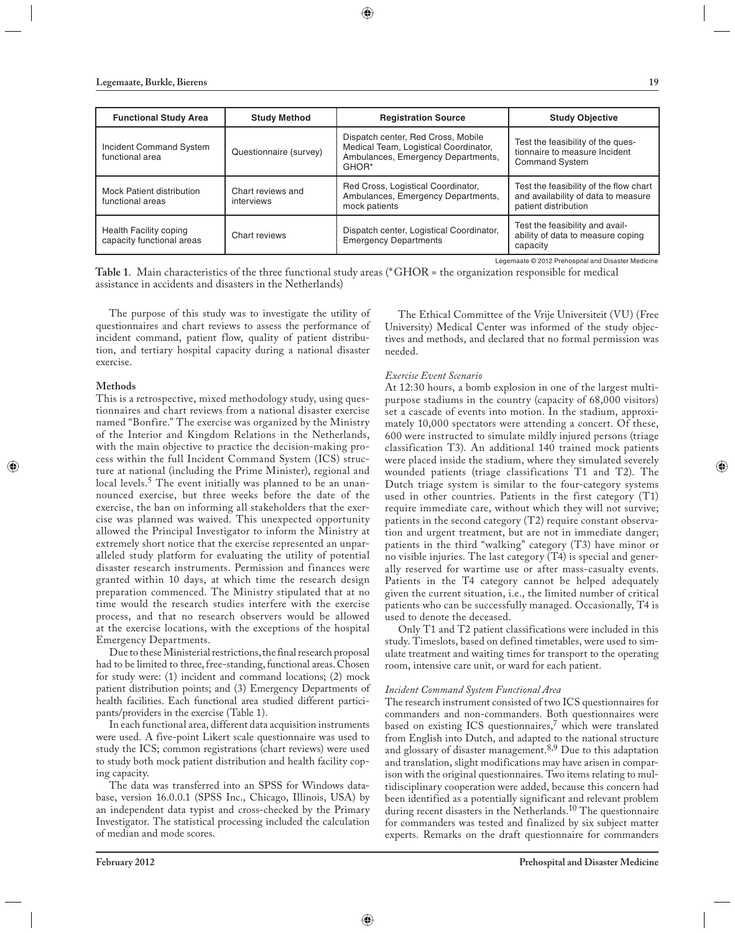| <b>Functional Study Area</b>                        | <b>Study Method</b>             | <b>Registration Source</b>                                                                                                 | <b>Study Objective</b>                                                                                |
|-----------------------------------------------------|---------------------------------|----------------------------------------------------------------------------------------------------------------------------|-------------------------------------------------------------------------------------------------------|
| Incident Command System<br>functional area          | Questionnaire (survey)          | Dispatch center, Red Cross, Mobile<br>Medical Team, Logistical Coordinator,<br>Ambulances, Emergency Departments,<br>GHOR* | Test the feasibility of the ques-<br>tionnaire to measure Incident<br><b>Command System</b>           |
| Mock Patient distribution<br>functional areas       | Chart reviews and<br>interviews | Red Cross, Logistical Coordinator,<br>Ambulances, Emergency Departments,<br>mock patients                                  | Test the feasibility of the flow chart<br>and availability of data to measure<br>patient distribution |
| Health Facility coping<br>capacity functional areas | Chart reviews                   | Dispatch center, Logistical Coordinator,<br><b>Emergency Departments</b>                                                   | Test the feasibility and avail-<br>ability of data to measure coping<br>capacity                      |

**Table 1**. Main characteristics of the three functional study areas (\* GHOR = the organization responsible for medical assistance in accidents and disasters in the Netherlands)

The purpose of this study was to investigate the utility of questionnaires and chart reviews to assess the performance of incident command, patient flow, quality of patient distribution, and tertiary hospital capacity during a national disaster exercise.

#### **Methods**

This is a retrospective, mixed methodology study, using questionnaires and chart reviews from a national disaster exercise named "Bonfire." The exercise was organized by the Ministry of the Interior and Kingdom Relations in the Netherlands, with the main objective to practice the decision-making process within the full Incident Command System (ICS) structure at national (including the Prime Minister), regional and local levels.<sup>5</sup> The event initially was planned to be an unannounced exercise, but three weeks before the date of the exercise, the ban on informing all stakeholders that the exercise was planned was waived. This unexpected opportunity allowed the Principal Investigator to inform the Ministry at extremely short notice that the exercise represented an unparalleled study platform for evaluating the utility of potential disaster research instruments. Permission and finances were granted within 10 days, at which time the research design preparation commenced. The Ministry stipulated that at no time would the research studies interfere with the exercise process, and that no research observers would be allowed at the exercise locations, with the exceptions of the hospital Emergency Departments.

Due to these Ministerial restrictions, the final research proposal had to be limited to three, free-standing, functional areas. Chosen for study were: (1) incident and command locations; (2) mock patient distribution points; and (3) Emergency Departments of health facilities. Each functional area studied different participants/providers in the exercise (Table 1).

In each functional area, different data acquisition instruments were used. A five-point Likert scale questionnaire was used to study the ICS; common registrations (chart reviews) were used to study both mock patient distribution and health facility coping capacity.

The data was transferred into an SPSS for Windows database, version 16.0.0.1 (SPSS Inc., Chicago, Illinois, USA) by an independent data typist and cross-checked by the Primary Investigator. The statistical processing included the calculation of median and mode scores.

The Ethical Committee of the Vrije Universiteit (VU) (Free University) Medical Center was informed of the study objectives and methods, and declared that no formal permission was needed.

# *Exercise Event Scenario*

At 12:30 hours, a bomb explosion in one of the largest multipurpose stadiums in the country (capacity of 68,000 visitors) set a cascade of events into motion. In the stadium, approximately 10,000 spectators were attending a concert. Of these, 600 were instructed to simulate mildly injured persons (triage classification T3). An additional 140 trained mock patients were placed inside the stadium, where they simulated severely wounded patients (triage classifications T1 and T2). The Dutch triage system is similar to the four-category systems used in other countries. Patients in the first category (T1) require immediate care, without which they will not survive; patients in the second category  $(T2)$  require constant observation and urgent treatment, but are not in immediate danger; patients in the third "walking" category (T3) have minor or no visible injuries. The last category (T4) is special and generally reserved for wartime use or after mass-casualty events. Patients in the T4 category cannot be helped adequately given the current situation, i.e., the limited number of critical patients who can be successfully managed. Occasionally, T4 is used to denote the deceased.

Only T1 and T2 patient classifications were included in this study. Timeslots, based on defined timetables, were used to simulate treatment and waiting times for transport to the operating room, intensive care unit, or ward for each patient.

#### *Incident Command System Functional Area*

The research instrument consisted of two ICS questionnaires for commanders and non-commanders. Both questionnaires were based on existing ICS questionnaires, $7$  which were translated from English into Dutch, and adapted to the national structure and glossary of disaster management.<sup>8,9</sup> Due to this adaptation and translation, slight modifications may have arisen in comparison with the original questionnaires. Two items relating to multidisciplinary cooperation were added, because this concern had been identified as a potentially significant and relevant problem during recent disasters in the Netherlands.<sup>10</sup> The questionnaire for commanders was tested and finalized by six subject matter experts. Remarks on the draft questionnaire for commanders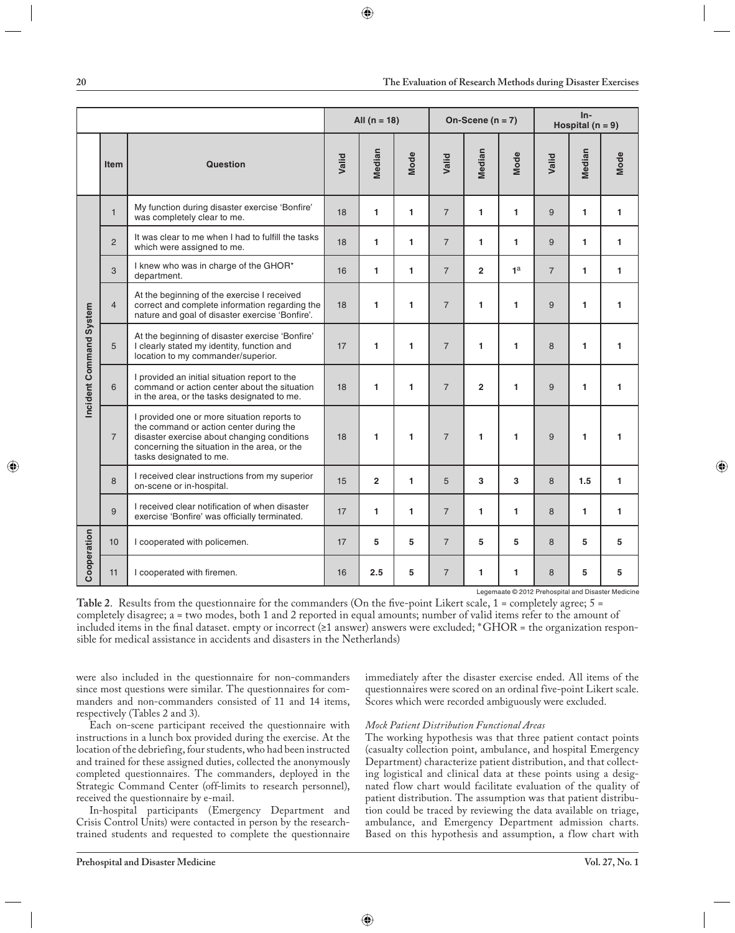|                         |                | All $(n = 18)$                                                                                                                                                                                                   |       |                | On-Scene ( $n = 7$ ) |                |                | $In-$<br>Hospital ( $n = 9$ ) |                |        |             |
|-------------------------|----------------|------------------------------------------------------------------------------------------------------------------------------------------------------------------------------------------------------------------|-------|----------------|----------------------|----------------|----------------|-------------------------------|----------------|--------|-------------|
|                         | <b>Item</b>    | <b>Question</b>                                                                                                                                                                                                  | Valid | Median         | <b>Mode</b>          | Valid          | Median         | <b>Mode</b>                   | Valid          | Median | <b>Mode</b> |
|                         | $\mathbf{1}$   | My function during disaster exercise 'Bonfire'<br>was completely clear to me.                                                                                                                                    | 18    | 1              | 1                    | $\overline{7}$ | 1              | 1                             | 9              | 1      | 1           |
|                         | $\overline{2}$ | It was clear to me when I had to fulfill the tasks<br>which were assigned to me.                                                                                                                                 | 18    | 1              | 1                    | $\overline{7}$ | 1              | 1                             | 9              | 1      | 1           |
|                         | 3              | I knew who was in charge of the GHOR*<br>department.                                                                                                                                                             | 16    | 1              | 1                    | $\overline{7}$ | $\overline{2}$ | 1 <sup>a</sup>                | $\overline{7}$ | 1      | 1           |
|                         | $\overline{4}$ | At the beginning of the exercise I received<br>correct and complete information regarding the<br>nature and goal of disaster exercise 'Bonfire'.                                                                 | 18    | 1              | 1                    | $\overline{7}$ | $\blacksquare$ | 1                             | 9              | 1      | 1           |
| Incident Command System | 5              | At the beginning of disaster exercise 'Bonfire'<br>I clearly stated my identity, function and<br>location to my commander/superior.                                                                              | 17    | 1              | 1                    | $\overline{7}$ | 1              | 1                             | 8              | 1      | 1           |
|                         | 6              | I provided an initial situation report to the<br>command or action center about the situation<br>in the area, or the tasks designated to me.                                                                     | 18    | 1              | 1                    | $\overline{7}$ | $\overline{2}$ | 1                             | 9              | 1      | 1           |
|                         | $\overline{7}$ | I provided one or more situation reports to<br>the command or action center during the<br>disaster exercise about changing conditions<br>concerning the situation in the area, or the<br>tasks designated to me. | 18    | 1              | 1                    | $\overline{7}$ | 1              | 1                             | 9              | 1      | 1           |
|                         | 8              | I received clear instructions from my superior<br>on-scene or in-hospital.                                                                                                                                       | 15    | $\overline{2}$ | $\mathbf{1}$         | 5              | 3              | 3                             | 8              | 1.5    | 1           |
|                         | 9              | I received clear notification of when disaster<br>exercise 'Bonfire' was officially terminated.                                                                                                                  | 17    | 1              | 1                    | $\overline{7}$ | 1              | 1                             | 8              | 1      | 1           |
| Cooperation             | 10             | I cooperated with policemen.                                                                                                                                                                                     | 17    | 5              | 5                    | $\overline{7}$ | 5              | 5                             | 8              | 5      | 5           |
|                         | 11             | I cooperated with firemen.                                                                                                                                                                                       | 16    | 2.5            | 5                    | $\overline{7}$ | 1              | 1                             | 8              | 5      | 5           |

**Table 2.** Results from the questionnaire for the commanders (On the five-point Likert scale,  $1 =$  completely agree;  $5 =$ completely disagree; a = two modes, both 1 and 2 reported in equal amounts; number of valid items refer to the amount of included items in the final dataset. empty or incorrect ( $\geq 1$  answer) answers were excluded; \*GHOR = the organization responsible for medical assistance in accidents and disasters in the Netherlands)

were also included in the questionnaire for non-commanders since most questions were similar. The questionnaires for commanders and non-commanders consisted of 11 and 14 items, respectively (Tables 2 and 3).

Each on-scene participant received the questionnaire with instructions in a lunch box provided during the exercise. At the location of the debriefing, four students, who had been instructed and trained for these assigned duties, collected the anonymously completed questionnaires. The commanders, deployed in the Strategic Command Center (off-limits to research personnel), received the questionnaire by e-mail.

In-hospital participants (Emergency Department and Crisis Control Units) were contacted in person by the researchtrained students and requested to complete the questionnaire

immediately after the disaster exercise ended. All items of the questionnaires were scored on an ordinal five-point Likert scale. Scores which were recorded ambiguously were excluded.

#### *Mock Patient Distribution Functional Areas*

The working hypothesis was that three patient contact points (casualty collection point, ambulance, and hospital Emergency Department) characterize patient distribution, and that collecting logistical and clinical data at these points using a designated flow chart would facilitate evaluation of the quality of patient distribution. The assumption was that patient distribution could be traced by reviewing the data available on triage, ambulance, and Emergency Department admission charts. Based on this hypothesis and assumption, a flow chart with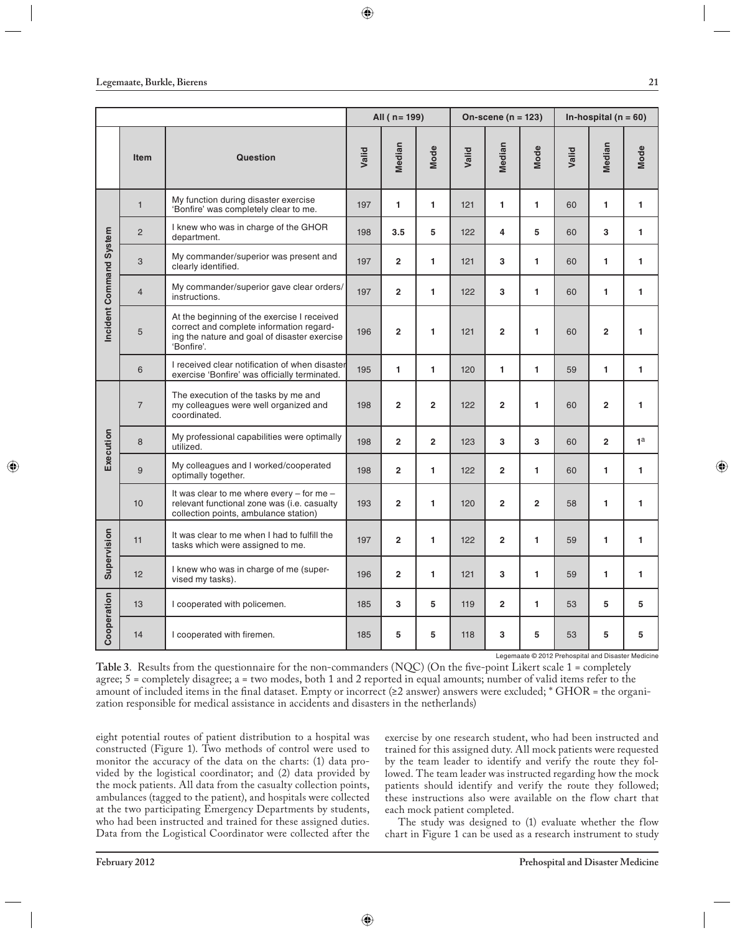|                         |                |                                                                                                                                                       |       | All ( $n = 199$ )       |                | On-scene ( $n = 123$ ) |                |                | In-hospital ( $n = 60$ ) |                |                |
|-------------------------|----------------|-------------------------------------------------------------------------------------------------------------------------------------------------------|-------|-------------------------|----------------|------------------------|----------------|----------------|--------------------------|----------------|----------------|
|                         | <b>Item</b>    | <b>Question</b>                                                                                                                                       | Valid | Median                  | Mode           | Valid                  | Median         | Mode           | Valid                    | Median         | Mode           |
|                         | $\mathbf{1}$   | My function during disaster exercise<br>'Bonfire' was completely clear to me.                                                                         | 197   | 1                       | 1              | 121                    | 1              | $\mathbf{1}$   | 60                       | 1              | $\mathbf{1}$   |
|                         | $\overline{2}$ | I knew who was in charge of the GHOR<br>department.                                                                                                   | 198   | 3.5                     | 5              | 122                    | 4              | 5              | 60                       | 3              | $\mathbf{1}$   |
|                         | 3              | My commander/superior was present and<br>clearly identified.                                                                                          | 197   | $\overline{2}$          | 1              | 121                    | 3              | $\mathbf{1}$   | 60                       | 1              | 1              |
|                         | $\overline{4}$ | My commander/superior gave clear orders/<br>instructions.                                                                                             | 197   | $\overline{2}$          | 1              | 122                    | 3              | 1              | 60                       | 1              | 1              |
| Incident Command System | 5              | At the beginning of the exercise I received<br>correct and complete information regard-<br>ing the nature and goal of disaster exercise<br>'Bonfire'. | 196   | $\overline{2}$          | $\blacksquare$ | 121                    | $\overline{2}$ | 1              | 60                       | $\overline{2}$ | 1              |
|                         | 6              | I received clear notification of when disaster<br>exercise 'Bonfire' was officially terminated.                                                       | 195   | 1                       | 1              | 120                    | 1              | 1              | 59                       | 1              | 1              |
|                         | $\overline{7}$ | The execution of the tasks by me and<br>my colleagues were well organized and<br>coordinated.                                                         | 198   | $\overline{2}$          | $\overline{2}$ | 122                    | $\overline{2}$ | 1              | 60                       | $\overline{2}$ | 1              |
| Execution               | 8              | My professional capabilities were optimally<br>utilized.                                                                                              | 198   | $\overline{2}$          | $\overline{2}$ | 123                    | 3              | 3              | 60                       | $\overline{2}$ | 1 <sup>a</sup> |
|                         | 9              | My colleagues and I worked/cooperated<br>optimally together.                                                                                          | 198   | $\overline{\mathbf{2}}$ | 1              | 122                    | $\overline{2}$ | 1              | 60                       | 1              | 1              |
|                         | 10             | It was clear to me where every - for me -<br>relevant functional zone was (i.e. casualty<br>collection points, ambulance station)                     | 193   | $\overline{2}$          | $\blacksquare$ | 120                    | $\overline{2}$ | $\overline{2}$ | 58                       | $\blacksquare$ | 1              |
| Supervision             | 11             | It was clear to me when I had to fulfill the<br>tasks which were assigned to me.                                                                      | 197   | $\overline{2}$          | $\mathbf{1}$   | 122                    | $\overline{2}$ | 1              | 59                       | 1              | 1              |
|                         | 12             | I knew who was in charge of me (super-<br>vised my tasks).                                                                                            | 196   | $\overline{2}$          | $\mathbf{1}$   | 121                    | 3              | $\mathbf{1}$   | 59                       | 1              | $\mathbf{1}$   |
|                         | 13             | I cooperated with policemen.                                                                                                                          | 185   | 3                       | 5              | 119                    | $\overline{2}$ | 1              | 53                       | 5              | 5              |
| Cooperation             | 14             | I cooperated with firemen.                                                                                                                            | 185   | 5                       | 5              | 118                    | 3              | 5              | 53                       | 5              | 5              |

Table 3. Results from the questionnaire for the non-commanders (NQC) (On the five-point Likert scale 1 = completely agree; 5 = completely disagree; a = two modes, both 1 and 2 reported in equal amounts; number of valid items refer to the amount of included items in the final dataset. Empty or incorrect ( $\geq 2$  answer) answers were excluded; \* GHOR = the organization responsible for medical assistance in accidents and disasters in the netherlands)

eight potential routes of patient distribution to a hospital was constructed (Figure 1). Two methods of control were used to monitor the accuracy of the data on the charts: (1) data provided by the logistical coordinator; and (2) data provided by the mock patients. All data from the casualty collection points, ambulances (tagged to the patient), and hospitals were collected at the two participating Emergency Departments by students, who had been instructed and trained for these assigned duties. Data from the Logistical Coordinator were collected after the exercise by one research student, who had been instructed and trained for this assigned duty. All mock patients were requested by the team leader to identify and verify the route they followed. The team leader was instructed regarding how the mock patients should identify and verify the route they followed; these instructions also were available on the flow chart that each mock patient completed.

The study was designed to (1) evaluate whether the flow chart in Figure 1 can be used as a research instrument to study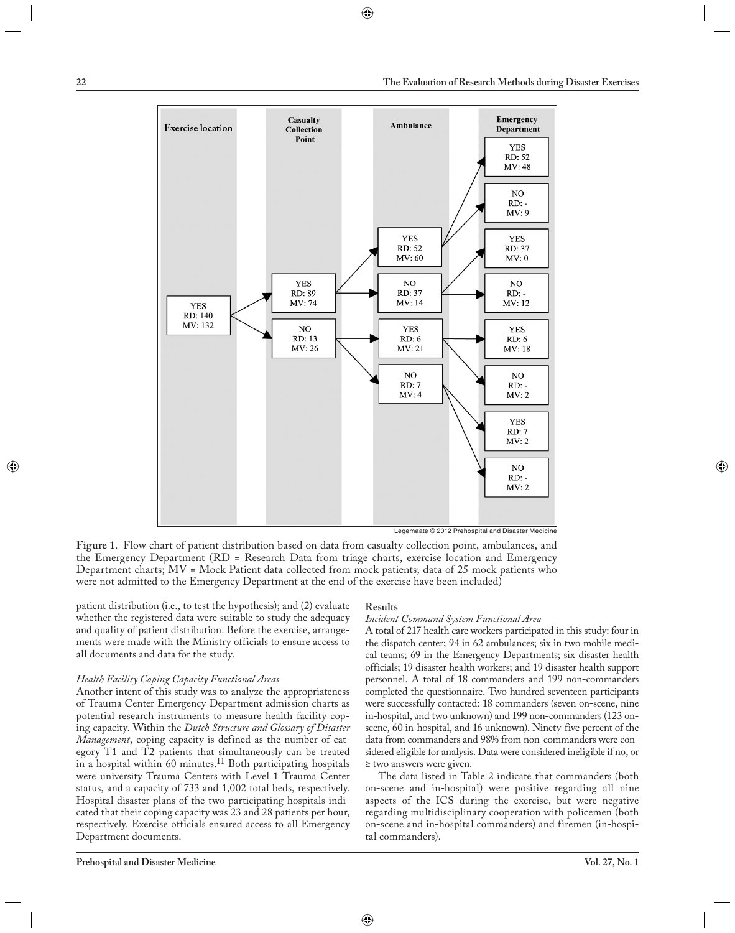

**Figure 1**. Flow chart of patient distribution based on data from casualty collection point, ambulances, and the Emergency Department (RD = Research Data from triage charts, exercise location and Emergency Department charts; MV = Mock Patient data collected from mock patients; data of 25 mock patients who were not admitted to the Emergency Department at the end of the exercise have been included)

patient distribution (i.e., to test the hypothesis); and (2) evaluate whether the registered data were suitable to study the adequacy and quality of patient distribution. Before the exercise, arrangements were made with the Ministry officials to ensure access to all documents and data for the study.

#### *Health Facility Coping Capacity Functional Areas*

Another intent of this study was to analyze the appropriateness of Trauma Center Emergency Department admission charts as potential research instruments to measure health facility coping capacity. Within the *Dutch Structure and Glossary of Disaster Management*, coping capacity is defined as the number of category T1 and T2 patients that simultaneously can be treated in a hospital within 60 minutes.<sup>11</sup> Both participating hospitals were university Trauma Centers with Level 1 Trauma Center status, and a capacity of 733 and 1,002 total beds, respectively. Hospital disaster plans of the two participating hospitals indicated that their coping capacity was 23 and 28 patients per hour, respectively. Exercise officials ensured access to all Emergency Department documents.

#### **Results**

#### *Incident Command System Functional Area*

A total of 217 health care workers participated in this study: four in the dispatch center; 94 in 62 ambulances; six in two mobile medical teams; 69 in the Emergency Departments; six disaster health officials; 19 disaster health workers; and 19 disaster health support personnel. A total of 18 commanders and 199 non-commanders completed the questionnaire. Two hundred seventeen participants were successfully contacted: 18 commanders (seven on-scene, nine in-hospital, and two unknown) and 199 non-commanders (123 onscene, 60 in-hospital, and 16 unknown). Ninety-five percent of the data from commanders and 98% from non-commanders were considered eligible for analysis. Data were considered ineligible if no, or ≥ two answers were given.

The data listed in Table 2 indicate that commanders (both on-scene and in-hospital) were positive regarding all nine aspects of the ICS during the exercise, but were negative regarding multidisciplinary cooperation with policemen (both on-scene and in-hospital commanders) and firemen (in-hospital commanders).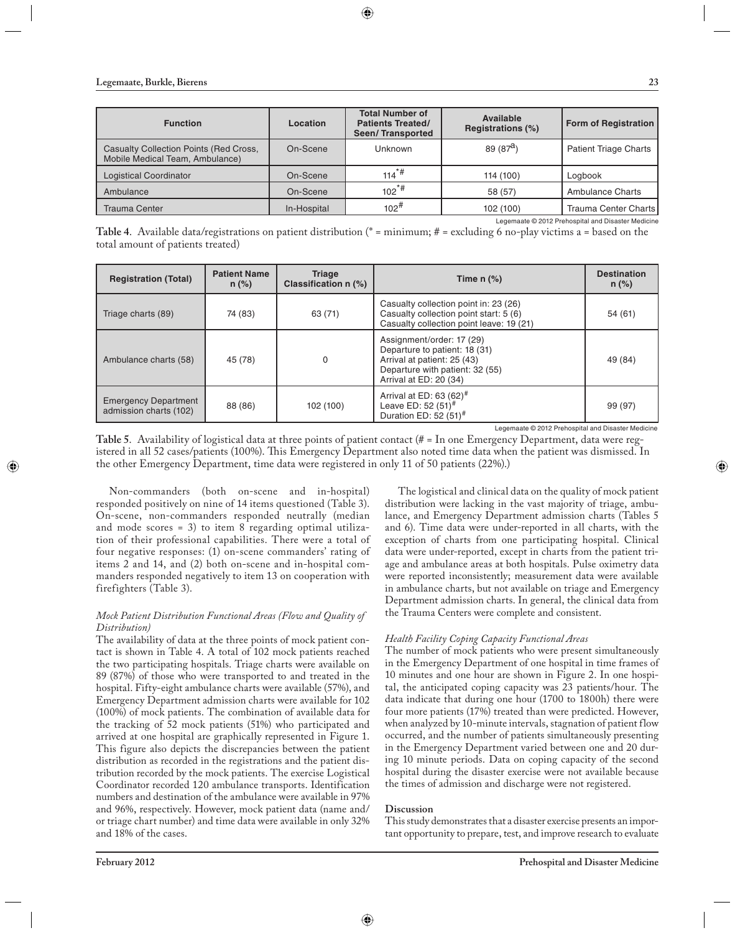| <b>Function</b>                                                                  | Location    | <b>Total Number of</b><br><b>Patients Treated/</b><br><b>Seen/Transported</b> | Available<br>Registrations (%) | <b>Form of Registration</b>  |
|----------------------------------------------------------------------------------|-------------|-------------------------------------------------------------------------------|--------------------------------|------------------------------|
| <b>Casualty Collection Points (Red Cross,</b><br>Mobile Medical Team, Ambulance) | On-Scene    | Unknown                                                                       | 89 $(87^a)$                    | <b>Patient Triage Charts</b> |
| <b>Logistical Coordinator</b>                                                    | On-Scene    | $114*$                                                                        | 114 (100)                      | Logbook                      |
| Ambulance                                                                        | On-Scene    | $102^*$ #                                                                     | 58 (57)                        | <b>Ambulance Charts</b>      |
| <b>Trauma Center</b>                                                             | In-Hospital | $102^{\#}$                                                                    | 102 (100)                      | Trauma Center Charts         |

**Table 4**. Available data/registrations on patient distribution (\* = minimum; # = excluding 6 no-play victims a = based on the total amount of patients treated)

| <b>Registration (Total)</b>                           | <b>Patient Name</b><br>$n$ (%) | <b>Triage</b><br>Classification n (%) | Time $n$ $%$ )                                                                                                                                         | <b>Destination</b><br>$n$ (%) |
|-------------------------------------------------------|--------------------------------|---------------------------------------|--------------------------------------------------------------------------------------------------------------------------------------------------------|-------------------------------|
| Triage charts (89)                                    | 74 (83)                        | 63 (71)                               | Casualty collection point in: 23 (26)<br>Casualty collection point start: 5 (6)<br>Casualty collection point leave: 19 (21)                            | 54 (61)                       |
| Ambulance charts (58)                                 | 45 (78)                        | 0                                     | Assignment/order: 17 (29)<br>Departure to patient: 18 (31)<br>Arrival at patient: 25 (43)<br>Departure with patient: 32 (55)<br>Arrival at ED: 20 (34) | 49 (84)                       |
| <b>Emergency Department</b><br>admission charts (102) | 88 (86)                        | 102 (100)                             | Arrival at ED: 63 $(62)^{\#}$<br>Leave ED: 52 $(51)^{\#}$<br>Duration ED: 52 $(51)^{\#}$                                                               | 99 (97)                       |

Legemaate © 2012 Prehospital and Disaster Medicine

**Table 5**. Availability of logistical data at three points of patient contact (# = In one Emergency Department, data were registered in all 52 cases/patients (100%). This Emergency Department also noted time data when the patient was dismissed. In the other Emergency Department, time data were registered in only 11 of 50 patients (22%).)

Non-commanders (both on-scene and in-hospital) responded positively on nine of 14 items questioned (Table 3). On-scene, non-commanders responded neutrally (median and mode scores = 3) to item 8 regarding optimal utilization of their professional capabilities. There were a total of four negative responses: (1) on-scene commanders' rating of items 2 and 14, and (2) both on-scene and in-hospital commanders responded negatively to item 13 on cooperation with firefighters (Table 3).

# *Mock Patient Distribution Functional Areas (Flow and Quality of Distribution)*

The availability of data at the three points of mock patient contact is shown in Table 4. A total of 102 mock patients reached the two participating hospitals. Triage charts were available on 89 (87%) of those who were transported to and treated in the hospital. Fifty-eight ambulance charts were available (57%), and Emergency Department admission charts were available for 102 (100%) of mock patients. The combination of available data for the tracking of 52 mock patients (51%) who participated and arrived at one hospital are graphically represented in Figure 1. This figure also depicts the discrepancies between the patient distribution as recorded in the registrations and the patient distribution recorded by the mock patients. The exercise Logistical Coordinator recorded 120 ambulance transports. Identification numbers and destination of the ambulance were available in 97% and 96%, respectively. However, mock patient data (name and/ or triage chart number) and time data were available in only 32% and 18% of the cases.

The logistical and clinical data on the quality of mock patient distribution were lacking in the vast majority of triage, ambulance, and Emergency Department admission charts (Tables 5 and 6). Time data were under-reported in all charts, with the exception of charts from one participating hospital. Clinical data were under-reported, except in charts from the patient triage and ambulance areas at both hospitals. Pulse oximetry data were reported inconsistently; measurement data were available in ambulance charts, but not available on triage and Emergency Department admission charts. In general, the clinical data from the Trauma Centers were complete and consistent.

# *Health Facility Coping Capacity Functional Areas*

The number of mock patients who were present simultaneously in the Emergency Department of one hospital in time frames of 10 minutes and one hour are shown in Figure 2. In one hospital, the anticipated coping capacity was 23 patients/hour. The data indicate that during one hour (1700 to 1800h) there were four more patients (17%) treated than were predicted. However, when analyzed by 10-minute intervals, stagnation of patient flow occurred, and the number of patients simultaneously presenting in the Emergency Department varied between one and 20 during 10 minute periods. Data on coping capacity of the second hospital during the disaster exercise were not available because the times of admission and discharge were not registered.

#### **Discussion**

This study demonstrates that a disaster exercise presents an important opportunity to prepare, test, and improve research to evaluate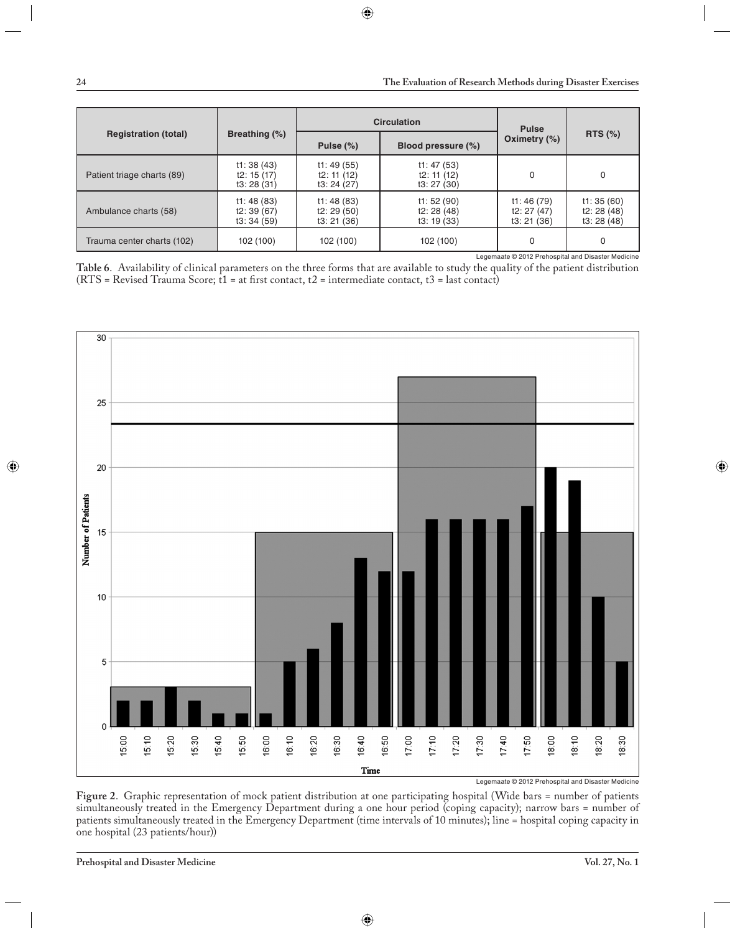|                                                    |                                        |                                       | <b>Circulation</b>                    | <b>Pulse</b>                          | RTS $(%)$                            |  |  |  |
|----------------------------------------------------|----------------------------------------|---------------------------------------|---------------------------------------|---------------------------------------|--------------------------------------|--|--|--|
| <b>Registration (total)</b>                        | Breathing (%)                          | Pulse $(\%)$                          | Blood pressure (%)                    | Oximetry $(\%)$                       |                                      |  |  |  |
| Patient triage charts (89)                         | t1:38(43)<br>t2: $15(17)$<br>t3:28(31) | t1:49(55)<br>t2: 11(12)<br>t3:24(27)  | t1: 47(53)<br>t2: 11(12)<br>t3:27(30) | 0                                     | 0                                    |  |  |  |
| Ambulance charts (58)                              | t1:48(83)<br>t2:39(67)<br>t3:34(59)    | t1:48(83)<br>t2: 29(50)<br>t3: 21(36) | t1:52(90)<br>t2: 28(48)<br>t3: 19(33) | t1:46(79)<br>t2: 27 (47)<br>t3:21(36) | t1:35(60)<br>t2: 28(48)<br>t3:28(48) |  |  |  |
| Trauma center charts (102)                         | 102 (100)                              | 102 (100)                             | 102 (100)                             | 0                                     | 0                                    |  |  |  |
| Legemaate © 2012 Prehospital and Disaster Medicine |                                        |                                       |                                       |                                       |                                      |  |  |  |

**Table 6**. Availability of clinical parameters on the three forms that are available to study the quality of the patient distribution (RTS = Revised Trauma Score;  $t1$  = at first contact,  $t2$  = intermediate contact,  $t3$  = last contact)



Legemaate © 2012 Prehospital and Disaster Medicine

**Figure 2**. Graphic representation of mock patient distribution at one participating hospital (Wide bars = number of patients simultaneously treated in the Emergency Department during a one hour period (coping capacity); narrow bars = number of patients simultaneously treated in the Emergency Department (time intervals of 10 minutes); line = hospital coping capacity in one hospital (23 patients/hour))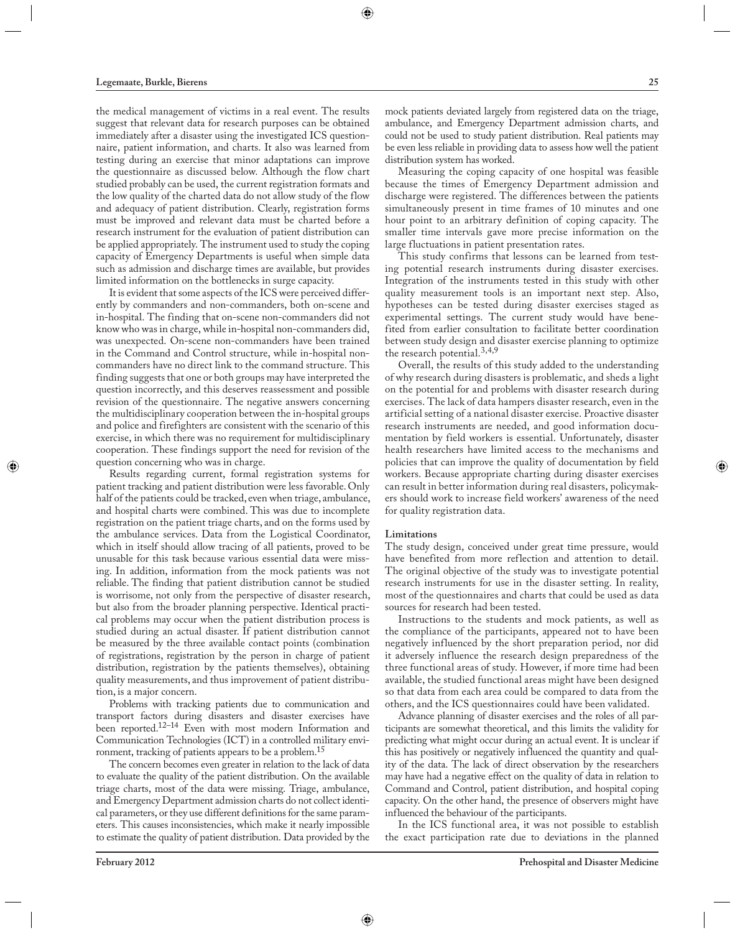the medical management of victims in a real event. The results suggest that relevant data for research purposes can be obtained immediately after a disaster using the investigated ICS questionnaire, patient information, and charts. It also was learned from testing during an exercise that minor adaptations can improve the questionnaire as discussed below. Although the flow chart studied probably can be used, the current registration formats and the low quality of the charted data do not allow study of the flow and adequacy of patient distribution. Clearly, registration forms must be improved and relevant data must be charted before a research instrument for the evaluation of patient distribution can be applied appropriately. The instrument used to study the coping capacity of Emergency Departments is useful when simple data such as admission and discharge times are available, but provides limited information on the bottlenecks in surge capacity.

It is evident that some aspects of the ICS were perceived differently by commanders and non-commanders, both on-scene and in-hospital. The finding that on-scene non-commanders did not know who was in charge, while in-hospital non-commanders did, was unexpected. On-scene non-commanders have been trained in the Command and Control structure, while in-hospital noncommanders have no direct link to the command structure. This finding suggests that one or both groups may have interpreted the question incorrectly, and this deserves reassessment and possible revision of the questionnaire. The negative answers concerning the multidisciplinary cooperation between the in-hospital groups and police and firefighters are consistent with the scenario of this exercise, in which there was no requirement for multidisciplinary cooperation. These findings support the need for revision of the question concerning who was in charge.

Results regarding current, formal registration systems for patient tracking and patient distribution were less favorable. Only half of the patients could be tracked, even when triage, ambulance, and hospital charts were combined. This was due to incomplete registration on the patient triage charts, and on the forms used by the ambulance services. Data from the Logistical Coordinator, which in itself should allow tracing of all patients, proved to be unusable for this task because various essential data were missing. In addition, information from the mock patients was not reliable. The finding that patient distribution cannot be studied is worrisome, not only from the perspective of disaster research, but also from the broader planning perspective. Identical practical problems may occur when the patient distribution process is studied during an actual disaster. If patient distribution cannot be measured by the three available contact points (combination of registrations, registration by the person in charge of patient distribution, registration by the patients themselves), obtaining quality measurements, and thus improvement of patient distribution, is a major concern.

Problems with tracking patients due to communication and transport factors during disasters and disaster exercises have been reported.<sup>12-14</sup> Even with most modern Information and Communication Technologies (ICT) in a controlled military environment, tracking of patients appears to be a problem.15

The concern becomes even greater in relation to the lack of data to evaluate the quality of the patient distribution. On the available triage charts, most of the data were missing. Triage, ambulance, and Emergency Department admission charts do not collect identical parameters, or they use different definitions for the same parameters. This causes inconsistencies, which make it nearly impossible to estimate the quality of patient distribution. Data provided by the mock patients deviated largely from registered data on the triage, ambulance, and Emergency Department admission charts, and could not be used to study patient distribution. Real patients may be even less reliable in providing data to assess how well the patient distribution system has worked.

Measuring the coping capacity of one hospital was feasible because the times of Emergency Department admission and discharge were registered. The differences between the patients simultaneously present in time frames of 10 minutes and one hour point to an arbitrary definition of coping capacity. The smaller time intervals gave more precise information on the large fluctuations in patient presentation rates.

This study confirms that lessons can be learned from testing potential research instruments during disaster exercises. Integration of the instruments tested in this study with other quality measurement tools is an important next step. Also, hypotheses can be tested during disaster exercises staged as experimental settings. The current study would have benefited from earlier consultation to facilitate better coordination between study design and disaster exercise planning to optimize the research potential.  $3,4,9$ 

Overall, the results of this study added to the understanding of why research during disasters is problematic, and sheds a light on the potential for and problems with disaster research during exercises. The lack of data hampers disaster research, even in the artificial setting of a national disaster exercise. Proactive disaster research instruments are needed, and good information documentation by field workers is essential. Unfortunately, disaster health researchers have limited access to the mechanisms and policies that can improve the quality of documentation by field workers. Because appropriate charting during disaster exercises can result in better information during real disasters, policymakers should work to increase field workers' awareness of the need for quality registration data.

#### **Limitations**

The study design, conceived under great time pressure, would have benefited from more reflection and attention to detail. The original objective of the study was to investigate potential research instruments for use in the disaster setting. In reality, most of the questionnaires and charts that could be used as data sources for research had been tested.

Instructions to the students and mock patients, as well as the compliance of the participants, appeared not to have been negatively influenced by the short preparation period, nor did it adversely influence the research design preparedness of the three functional areas of study. However, if more time had been available, the studied functional areas might have been designed so that data from each area could be compared to data from the others, and the ICS questionnaires could have been validated.

Advance planning of disaster exercises and the roles of all participants are somewhat theoretical, and this limits the validity for predicting what might occur during an actual event. It is unclear if this has positively or negatively influenced the quantity and quality of the data. The lack of direct observation by the researchers may have had a negative effect on the quality of data in relation to Command and Control, patient distribution, and hospital coping capacity. On the other hand, the presence of observers might have influenced the behaviour of the participants.

In the ICS functional area, it was not possible to establish the exact participation rate due to deviations in the planned